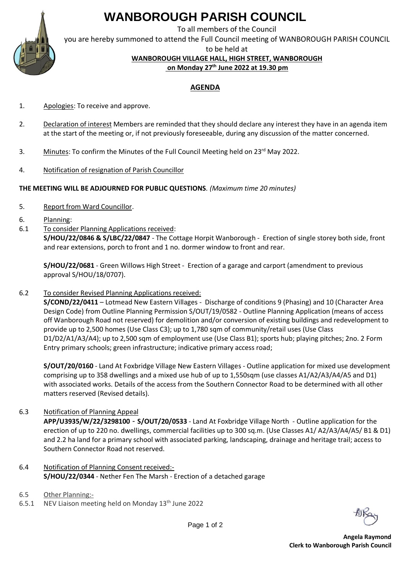# **WANBOROUGH PARISH COUNCIL**

To all members of the Council

you are hereby summoned to attend the Full Council meeting of WANBOROUGH PARISH COUNCIL

to be held at

**WANBOROUGH VILLAGE HALL, HIGH STREET, WANBOROUGH**

**on Monday 27 th June 2022 at 19.30 pm**

### **AGENDA**

- 1. Apologies: To receive and approve.
- 2. Declaration of interest Members are reminded that they should declare any interest they have in an agenda item at the start of the meeting or, if not previously foreseeable, during any discussion of the matter concerned.
- 3. Minutes: To confirm the Minutes of the Full Council Meeting held on 23<sup>rd</sup> May 2022.
- 4. Notification of resignation of Parish Councillor

### **THE MEETING WILL BE ADJOURNED FOR PUBLIC QUESTIONS***. (Maximum time 20 minutes)*

- 5. Report from Ward Councillor.
- 6. Planning:
- 6.1 To consider Planning Applications received:

**S/HOU/22/0846 & S/LBC/22/0847** - The Cottage Horpit Wanborough - Erection of single storey both side, front and rear extensions, porch to front and 1 no. dormer window to front and rear.

**S/HOU/22/0681** - Green Willows High Street - Erection of a garage and carport (amendment to previous approval S/HOU/18/0707).

6.2 To consider Revised Planning Applications received:

**S/COND/22/0411** – Lotmead New Eastern Villages - Discharge of conditions 9 (Phasing) and 10 (Character Area Design Code) from Outline Planning Permission S/OUT/19/0582 - Outline Planning Application (means of access off Wanborough Road not reserved) for demolition and/or conversion of existing buildings and redevelopment to provide up to 2,500 homes (Use Class C3); up to 1,780 sqm of community/retail uses (Use Class D1/D2/A1/A3/A4); up to 2,500 sqm of employment use (Use Class B1); sports hub; playing pitches; 2no. 2 Form Entry primary schools; green infrastructure; indicative primary access road;

**S/OUT/20/0160** - Land At Foxbridge Village New Eastern Villages - Outline application for mixed use development comprising up to 358 dwellings and a mixed use hub of up to 1,550sqm (use classes A1/A2/A3/A4/A5 and D1) with associated works. Details of the access from the Southern Connector Road to be determined with all other matters reserved (Revised details).

6.3 Notification of Planning Appeal

**APP/U3935/W/22/3298100** - **S/OUT/20/0533** - Land At Foxbridge Village North - Outline application for the erection of up to 220 no. dwellings, commercial facilities up to 300 sq.m. (Use Classes A1/ A2/A3/A4/A5/ B1 & D1) and 2.2 ha land for a primary school with associated parking, landscaping, drainage and heritage trail; access to Southern Connector Road not reserved.

- 6.4 Notification of Planning Consent received:- **S/HOU/22/0344** - Nether Fen The Marsh - Erection of a detached garage
- 6.5 Other Planning:-
- 6.5.1 NEV Liaison meeting held on Monday  $13<sup>th</sup>$  June 2022